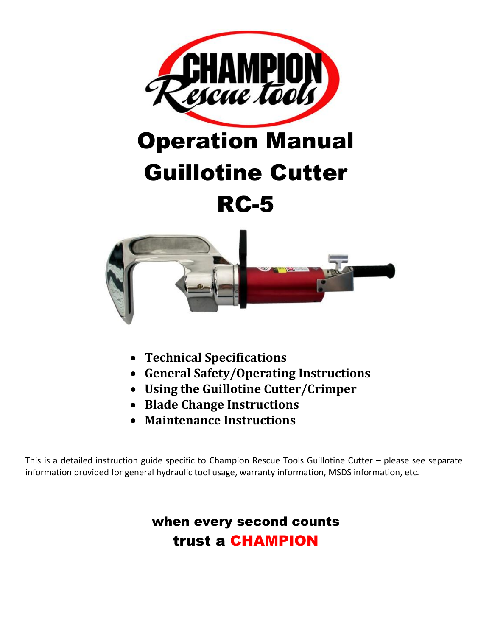

# Operation Manual Guillotine Cutter RC-5



- **Technical Specifications**
- **General Safety/Operating Instructions**
- **Using the Guillotine Cutter/Crimper**
- **Blade Change Instructions**
- **Maintenance Instructions**

This is a detailed instruction guide specific to Champion Rescue Tools Guillotine Cutter – please see separate information provided for general hydraulic tool usage, warranty information, MSDS information, etc.

### when every second counts trust a CHAMPION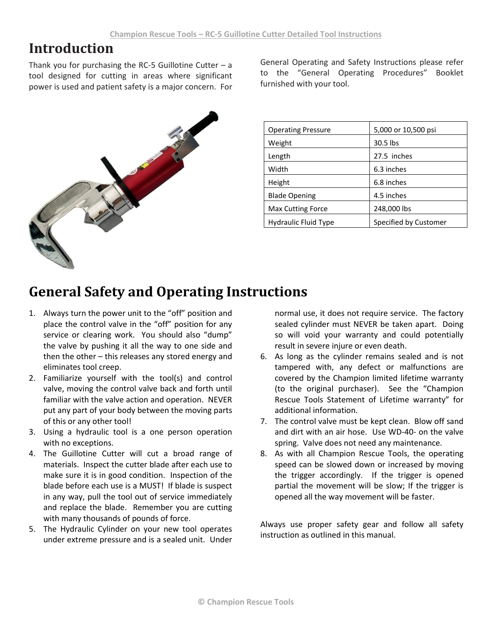#### **Introduction**

Thank you for purchasing the RC-5 Guillotine Cutter  $-$  a tool designed for cutting in areas where significant power is used and patient safety is a major concern. For



General Operating and Safety Instructions please refer to the "General Operating Procedures" Booklet furnished with your tool.

| <b>Operating Pressure</b>   | 5,000 or 10,500 psi   |
|-----------------------------|-----------------------|
| Weight                      | 30.5 lbs              |
| Length                      | 27.5 inches           |
| Width                       | 6.3 inches            |
| Height                      | 6.8 inches            |
| <b>Blade Opening</b>        | 4.5 inches            |
| <b>Max Cutting Force</b>    | 248,000 lbs           |
| <b>Hydraulic Fluid Type</b> | Specified by Customer |

# **General Safety and Operating Instructions**

- 1. Always turn the power unit to the "off" position and place the control valve in the "off" position for any service or clearing work. You should also "dump" the valve by pushing it all the way to one side and then the other – this releases any stored energy and eliminates tool creep.
- 2. Familiarize yourself with the tool(s) and control valve, moving the control valve back and forth until familiar with the valve action and operation. NEVER put any part of your body between the moving parts of this or any other tool!
- 3. Using a hydraulic tool is a one person operation with no exceptions.
- 4. The Guillotine Cutter will cut a broad range of materials. Inspect the cutter blade after each use to make sure it is in good condition. Inspection of the blade before each use is a MUST! If blade is suspect in any way, pull the tool out of service immediately and replace the blade. Remember you are cutting with many thousands of pounds of force.
- 5. The Hydraulic Cylinder on your new tool operates under extreme pressure and is a sealed unit. Under

normal use, it does not require service. The factory sealed cylinder must NEVER be taken apart. Doing so will void your warranty and could potentially result in severe injure or even death.

- 6. As long as the cylinder remains sealed and is not tampered with, any defect or malfunctions are covered by the Champion limited lifetime warranty (to the original purchaser). See the "Champion Rescue Tools Statement of Lifetime warranty" for additional information.
- 7. The control valve must be kept clean. Blow off sand and dirt with an air hose. Use WD-40- on the valve spring. Valve does not need any maintenance.
- 8. As with all Champion Rescue Tools, the operating speed can be slowed down or increased by moving the trigger accordingly. If the trigger is opened partial the movement will be slow; If the trigger is opened all the way movement will be faster.

Always use proper safety gear and follow all safety instruction as outlined in this manual.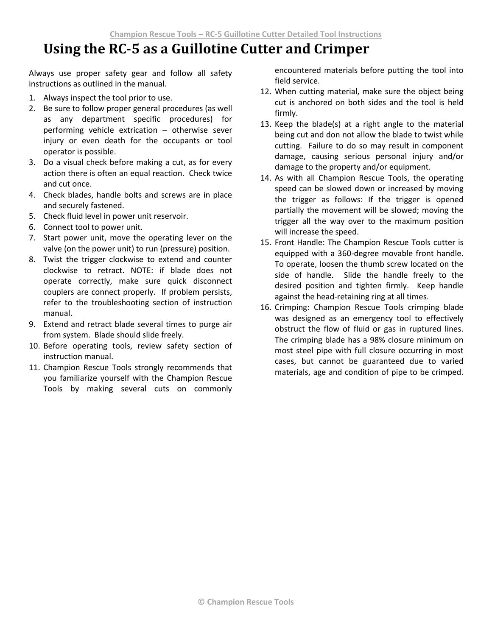# **Using the RC-5 as a Guillotine Cutter and Crimper**

Always use proper safety gear and follow all safety instructions as outlined in the manual.

- 1. Always inspect the tool prior to use.
- 2. Be sure to follow proper general procedures (as well as any department specific procedures) for performing vehicle extrication – otherwise sever injury or even death for the occupants or tool operator is possible.
- 3. Do a visual check before making a cut, as for every action there is often an equal reaction. Check twice and cut once.
- 4. Check blades, handle bolts and screws are in place and securely fastened.
- 5. Check fluid level in power unit reservoir.
- 6. Connect tool to power unit.
- 7. Start power unit, move the operating lever on the valve (on the power unit) to run (pressure) position.
- 8. Twist the trigger clockwise to extend and counter clockwise to retract. NOTE: if blade does not operate correctly, make sure quick disconnect couplers are connect properly. If problem persists, refer to the troubleshooting section of instruction manual.
- 9. Extend and retract blade several times to purge air from system. Blade should slide freely.
- 10. Before operating tools, review safety section of instruction manual.
- 11. Champion Rescue Tools strongly recommends that you familiarize yourself with the Champion Rescue Tools by making several cuts on commonly

encountered materials before putting the tool into field service.

- 12. When cutting material, make sure the object being cut is anchored on both sides and the tool is held firmly.
- 13. Keep the blade(s) at a right angle to the material being cut and don not allow the blade to twist while cutting. Failure to do so may result in component damage, causing serious personal injury and/or damage to the property and/or equipment.
- 14. As with all Champion Rescue Tools, the operating speed can be slowed down or increased by moving the trigger as follows: If the trigger is opened partially the movement will be slowed; moving the trigger all the way over to the maximum position will increase the speed.
- 15. Front Handle: The Champion Rescue Tools cutter is equipped with a 360-degree movable front handle. To operate, loosen the thumb screw located on the side of handle. Slide the handle freely to the desired position and tighten firmly. Keep handle against the head-retaining ring at all times.
- 16. Crimping: Champion Rescue Tools crimping blade was designed as an emergency tool to effectively obstruct the flow of fluid or gas in ruptured lines. The crimping blade has a 98% closure minimum on most steel pipe with full closure occurring in most cases, but cannot be guaranteed due to varied materials, age and condition of pipe to be crimped.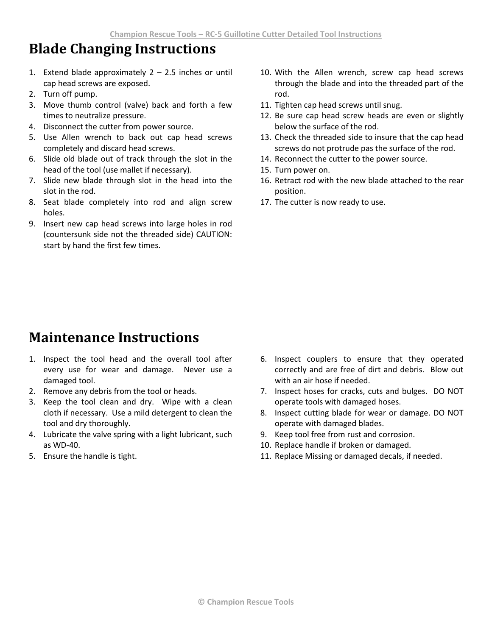#### **Blade Changing Instructions**

- 1. Extend blade approximately  $2 2.5$  inches or until cap head screws are exposed.
- 2. Turn off pump.
- 3. Move thumb control (valve) back and forth a few times to neutralize pressure.
- 4. Disconnect the cutter from power source.
- 5. Use Allen wrench to back out cap head screws completely and discard head screws.
- 6. Slide old blade out of track through the slot in the head of the tool (use mallet if necessary).
- 7. Slide new blade through slot in the head into the slot in the rod.
- 8. Seat blade completely into rod and align screw holes.
- 9. Insert new cap head screws into large holes in rod (countersunk side not the threaded side) CAUTION: start by hand the first few times.
- 10. With the Allen wrench, screw cap head screws through the blade and into the threaded part of the rod.
- 11. Tighten cap head screws until snug.
- 12. Be sure cap head screw heads are even or slightly below the surface of the rod.
- 13. Check the threaded side to insure that the cap head screws do not protrude pas the surface of the rod.
- 14. Reconnect the cutter to the power source.
- 15. Turn power on.
- 16. Retract rod with the new blade attached to the rear position.
- 17. The cutter is now ready to use.

#### **Maintenance Instructions**

- 1. Inspect the tool head and the overall tool after every use for wear and damage. Never use a damaged tool.
- 2. Remove any debris from the tool or heads.
- 3. Keep the tool clean and dry. Wipe with a clean cloth if necessary. Use a mild detergent to clean the tool and dry thoroughly.
- 4. Lubricate the valve spring with a light lubricant, such as WD-40.
- 5. Ensure the handle is tight.
- 6. Inspect couplers to ensure that they operated correctly and are free of dirt and debris. Blow out with an air hose if needed.
- 7. Inspect hoses for cracks, cuts and bulges. DO NOT operate tools with damaged hoses.
- 8. Inspect cutting blade for wear or damage. DO NOT operate with damaged blades.
- 9. Keep tool free from rust and corrosion.
- 10. Replace handle if broken or damaged.
- 11. Replace Missing or damaged decals, if needed.